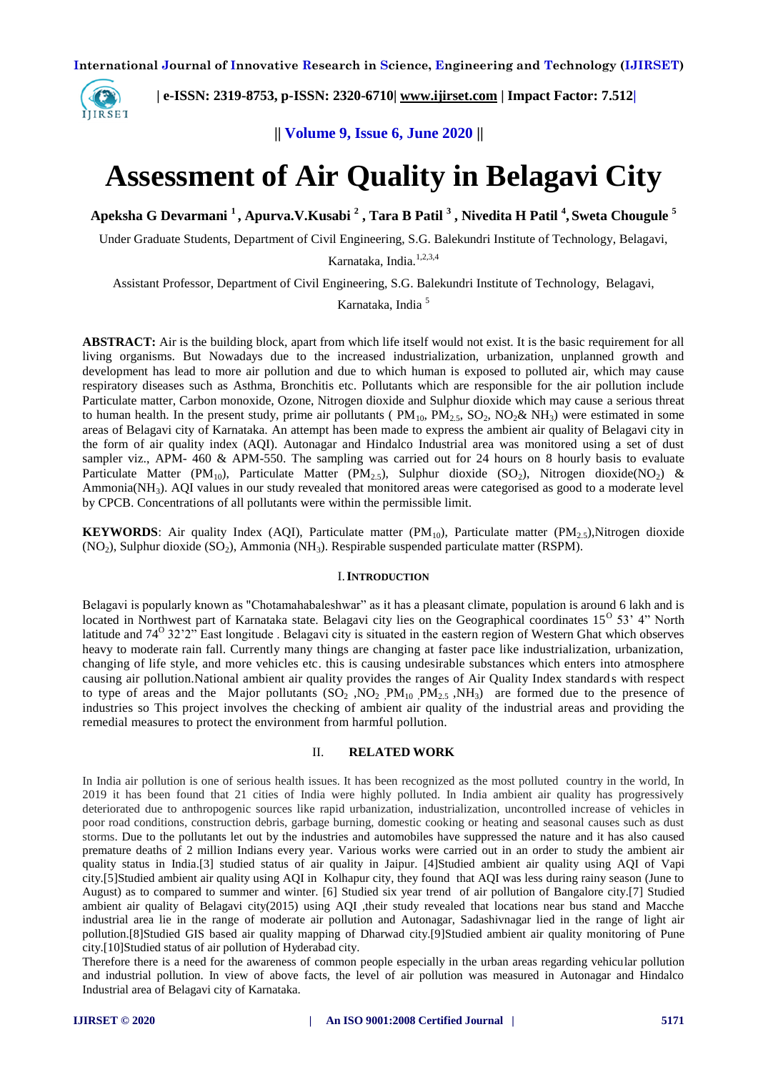

 **| e-ISSN: 2319-8753, p-ISSN: 2320-6710| [www.ijirset.com](http://www.ijirset.com/) | Impact Factor: 7.512|**

**|| Volume 9, Issue 6, June 2020 ||**

# **Assessment of Air Quality in Belagavi City**

**Apeksha G Devarmani <sup>1</sup>, Apurva.V.Kusabi <sup>2</sup> , Tara B Patil <sup>3</sup> , Nivedita H Patil <sup>4</sup> , Sweta Chougule <sup>5</sup>**

Under Graduate Students, Department of Civil Engineering, S.G. Balekundri Institute of Technology, Belagavi,

Karnataka, India.<sup>1,2,3,4</sup>

Assistant Professor, Department of Civil Engineering, S.G. Balekundri Institute of Technology, Belagavi,

Karnataka, India <sup>5</sup>

**ABSTRACT:** Air is the building block, apart from which life itself would not exist. It is the basic requirement for all living organisms. But Nowadays due to the increased industrialization, urbanization, unplanned growth and development has lead to more air pollution and due to which human is exposed to polluted air, which may cause respiratory diseases such as Asthma, Bronchitis etc. Pollutants which are responsible for the air pollution include Particulate matter, Carbon monoxide, Ozone, Nitrogen dioxide and Sulphur dioxide which may cause a serious threat to human health. In the present study, prime air pollutants ( $PM_{10}$ ,  $PM_{25}$ ,  $SO_2$ ,  $NO_2\& NH_3$ ) were estimated in some areas of Belagavi city of Karnataka. An attempt has been made to express the ambient air quality of Belagavi city in the form of air quality index (AQI). Autonagar and Hindalco Industrial area was monitored using a set of dust sampler viz., APM- 460 & APM-550. The sampling was carried out for 24 hours on 8 hourly basis to evaluate Particulate Matter (PM<sub>10</sub>), Particulate Matter (PM<sub>2.5</sub>), Sulphur dioxide (SO<sub>2</sub>), Nitrogen dioxide(NO<sub>2</sub>) & Ammonia(NH3). AQI values in our study revealed that monitored areas were categorised as good to a moderate level by CPCB. Concentrations of all pollutants were within the permissible limit.

**KEYWORDS**: Air quality Index (AQI), Particulate matter  $(PM_{10})$ , Particulate matter  $(PM_{2.5})$ , Nitrogen dioxide (NO2), Sulphur dioxide (SO2), Ammonia (NH3). Respirable suspended particulate matter (RSPM).

### I.**INTRODUCTION**

Belagavi is popularly known as "Chotamahabaleshwar" as it has a pleasant climate, population is around 6 lakh and is located in Northwest part of Karnataka state. Belagavi city lies on the Geographical coordinates 15<sup>o</sup> 53' 4" North latitude and  $74^{\circ}$  32'2" East longitude . Belagavi city is situated in the eastern region of Western Ghat which observes heavy to moderate rain fall. Currently many things are changing at faster pace like industrialization, urbanization, changing of life style, and more vehicles etc. this is causing undesirable substances which enters into atmosphere causing air pollution. National ambient air quality provides the ranges of Air Quality Index standards with respect to type of areas and the Major pollutants  $(SO_2, NO_2, PM_{10}, PM_{2.5}, NH_3)$  are formed due to the presence of industries so This project involves the checking of ambient air quality of the industrial areas and providing the remedial measures to protect the environment from harmful pollution.

#### II. **RELATED WORK**

In India air pollution is one of serious health issues. It has been recognized as the most polluted country in the world, In 2019 it has been found that 21 cities of India were highly polluted. In India ambient air quality has progressively deteriorated due to anthropogenic sources like rapid urbanization, industrialization, uncontrolled increase of vehicles in poor road conditions, construction debris, garbage burning, domestic cooking or heating and seasonal causes such as dust storms. Due to the pollutants let out by the industries and automobiles have suppressed the nature and it has also caused premature deaths of 2 million Indians every year. Various works were carried out in an order to study the ambient air quality status in India.[3] studied status of air quality in Jaipur. [4]Studied ambient air quality using AQI of Vapi city.[5]Studied ambient air quality using AQI in Kolhapur city, they found that AQI was less during rainy season (June to August) as to compared to summer and winter. [6] Studied six year trend of air pollution of Bangalore city.[7] Studied ambient air quality of Belagavi city(2015) using AQI ,their study revealed that locations near bus stand and Macche industrial area lie in the range of moderate air pollution and Autonagar, Sadashivnagar lied in the range of light air pollution.[8]Studied GIS based air quality mapping of Dharwad city.[9]Studied ambient air quality monitoring of Pune city.[10]Studied status of air pollution of Hyderabad city.

Therefore there is a need for the awareness of common people especially in the urban areas regarding vehicular pollution and industrial pollution. In view of above facts, the level of air pollution was measured in Autonagar and Hindalco Industrial area of Belagavi city of Karnataka.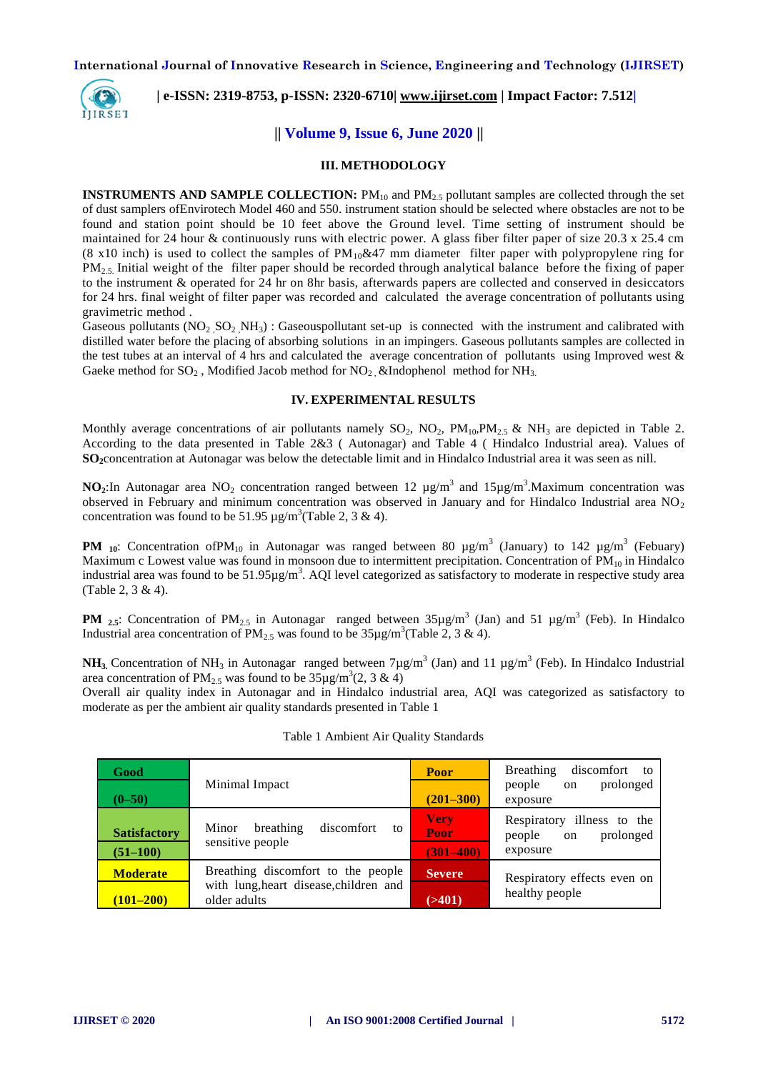

 **| e-ISSN: 2319-8753, p-ISSN: 2320-6710| [www.ijirset.com](http://www.ijirset.com/) | Impact Factor: 7.512|**

# **|| Volume 9, Issue 6, June 2020 ||**

#### **III. METHODOLOGY**

**INSTRUMENTS AND SAMPLE COLLECTION:**  $PM_{10}$  and  $PM_{2.5}$  pollutant samples are collected through the set of dust samplers ofEnvirotech Model 460 and 550. instrument station should be selected where obstacles are not to be found and station point should be 10 feet above the Ground level. Time setting of instrument should be maintained for 24 hour & continuously runs with electric power. A glass fiber filter paper of size 20.3 x 25.4 cm (8 x10 inch) is used to collect the samples of  $PM_{10}$ &47 mm diameter filter paper with polypropylene ring for  $PM_{2.5}$  Initial weight of the filter paper should be recorded through analytical balance before the fixing of paper to the instrument & operated for 24 hr on 8hr basis, afterwards papers are collected and conserved in desiccators for 24 hrs. final weight of filter paper was recorded and calculated the average concentration of pollutants using gravimetric method .

Gaseous pollutants  $(NO_2 SO_2 NH_3)$ : Gaseouspollutant set-up is connected with the instrument and calibrated with distilled water before the placing of absorbing solutions in an impingers. Gaseous pollutants samples are collected in the test tubes at an interval of 4 hrs and calculated the average concentration of pollutants using Improved west & Gaeke method for  $SO_2$ , Modified Jacob method for  $NO_2$ , &Indophenol method for  $NH_3$ .

#### **IV. EXPERIMENTAL RESULTS**

Monthly average concentrations of air pollutants namely  $SO_2$ ,  $NO_2$ ,  $PO_{10}$ ,  $PM_{2.5}$  &  $NH_3$  are depicted in Table 2. According to the data presented in Table 2&3 ( Autonagar) and Table 4 ( Hindalco Industrial area). Values of **SO2**concentration at Autonagar was below the detectable limit and in Hindalco Industrial area it was seen as nill.

**NO<sub>2</sub>**:In Autonagar area NO<sub>2</sub> concentration ranged between 12  $\mu$ g/m<sup>3</sup> and 15 $\mu$ g/m<sup>3</sup>.Maximum concentration was observed in February and minimum concentration was observed in January and for Hindalco Industrial area  $NO<sub>2</sub>$ concentration was found to be 51.95  $\mu$ g/m<sup>3</sup>(Table 2, 3 & 4).

**PM**  $_{10}$ : Concentration of PM<sub>10</sub> in Autonagar was ranged between 80  $\mu$ g/m<sup>3</sup> (January) to 142  $\mu$ g/m<sup>3</sup> (Febuary) Maximum c Lowest value was found in monsoon due to intermittent precipitation. Concentration of  $PM_{10}$  in Hindalco industrial area was found to be  $51.95\mu\text{g/m}^3$ . AQI level categorized as satisfactory to moderate in respective study area (Table 2, 3 & 4).

**PM**  $_{2.5}$ : Concentration of PM<sub>2.5</sub> in Autonagar ranged between  $35\mu g/m^3$  (Jan) and  $51 \mu g/m^3$  (Feb). In Hindalco Industrial area concentration of PM<sub>2.5</sub> was found to be  $35\mu\text{g/m}^3$  (Table 2, 3 & 4).

**NH**<sub>3</sub>. Concentration of NH<sub>3</sub> in Autonagar ranged between  $7\mu\text{g/m}^3$  (Jan) and 11  $\mu\text{g/m}^3$  (Feb). In Hindalco Industrial area concentration of PM<sub>2.5</sub> was found to be  $35\mu\text{g/m}^3(2, 3 \& 4)$ 

Overall air quality index in Autonagar and in Hindalco industrial area, AQI was categorized as satisfactory to moderate as per the ambient air quality standards presented in Table 1

| Good<br>$(0 - 50)$                | Minimal Impact                                                                               | <b>Poor</b><br>$(201 - 300)$                | discomfort to<br>Breathing<br>prolonged<br>people<br><sub>on</sub><br>exposure |
|-----------------------------------|----------------------------------------------------------------------------------------------|---------------------------------------------|--------------------------------------------------------------------------------|
| <b>Satisfactory</b><br>$(51-100)$ | discomfort to<br>breathing<br>Minor<br>sensitive people                                      | <b>Very</b><br><b>Poor</b><br>$(301 - 400)$ | Respiratory illness to the<br>prolonged<br>people<br>on<br>exposure            |
| <b>Moderate</b><br>$(101 - 200)$  | Breathing discomfort to the people<br>with lung, heart disease, children and<br>older adults | <b>Severe</b><br>( > 401)                   | Respiratory effects even on<br>healthy people                                  |

Table 1 Ambient Air Quality Standards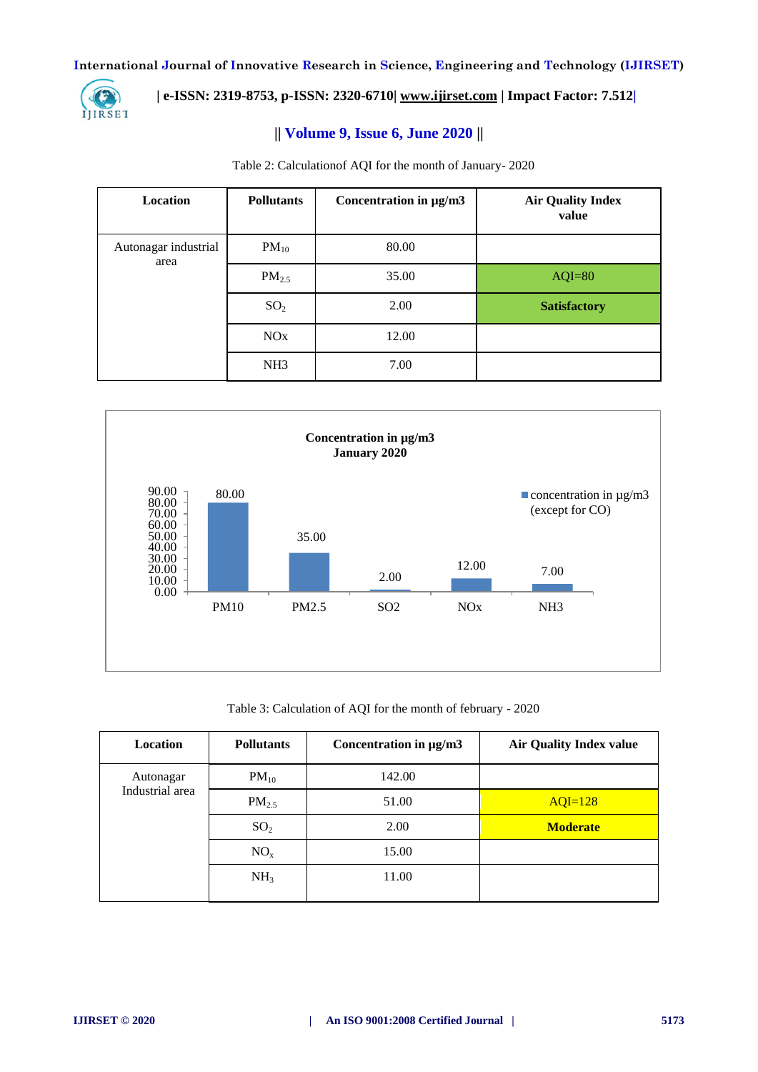

# **| e-ISSN: 2319-8753, p-ISSN: 2320-6710| [www.ijirset.com](http://www.ijirset.com/) | Impact Factor: 7.512|**

# **|| Volume 9, Issue 6, June 2020 ||**

| Location                     | <b>Pollutants</b> | Concentration in µg/m3 | <b>Air Quality Index</b><br>value |
|------------------------------|-------------------|------------------------|-----------------------------------|
| Autonagar industrial<br>area | $PM_{10}$         | 80.00                  |                                   |
|                              | $PM_{2.5}$        | 35.00                  | $AQI=80$                          |
|                              | SO <sub>2</sub>   | 2.00                   | <b>Satisfactory</b>               |
|                              | NOx               | 12.00                  |                                   |
|                              | NH <sub>3</sub>   | 7.00                   |                                   |

Table 2: Calculationof AQI for the month of January- 2020



Table 3: Calculation of AQI for the month of february - 2020

| Location                     | <b>Pollutants</b> | Concentration in µg/m3 | <b>Air Quality Index value</b> |
|------------------------------|-------------------|------------------------|--------------------------------|
| Autonagar<br>Industrial area | $PM_{10}$         | 142.00                 |                                |
|                              | $PM_{2.5}$        | 51.00                  | $AQI=128$                      |
|                              | SO <sub>2</sub>   | 2.00                   | <b>Moderate</b>                |
|                              | NO <sub>x</sub>   | 15.00                  |                                |
|                              | NH <sub>3</sub>   | 11.00                  |                                |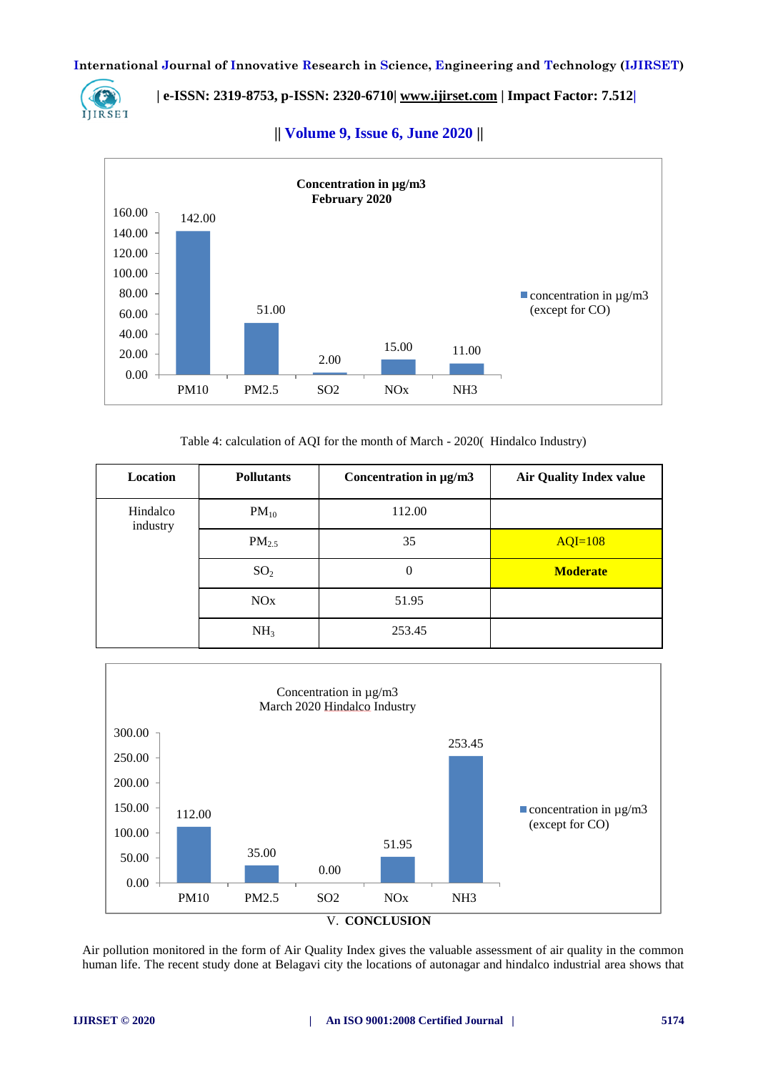

# **| e-ISSN: 2319-8753, p-ISSN: 2320-6710| [www.ijirset.com](http://www.ijirset.com/) | Impact Factor: 7.512|**





Table 4: calculation of AQI for the month of March - 2020( Hindalco Industry)

| Location             | <b>Pollutants</b> | Concentration in $\mu$ g/m3 | <b>Air Quality Index value</b> |
|----------------------|-------------------|-----------------------------|--------------------------------|
| Hindalco<br>industry | $PM_{10}$         | 112.00                      |                                |
|                      | $PM_{2.5}$        | 35                          | $AQI=108$                      |
|                      | SO <sub>2</sub>   | $\boldsymbol{0}$            | <b>Moderate</b>                |
|                      | NOx               | 51.95                       |                                |
|                      | NH <sub>3</sub>   | 253.45                      |                                |



Air pollution monitored in the form of Air Quality Index gives the valuable assessment of air quality in the common human life. The recent study done at Belagavi city the locations of autonagar and hindalco industrial area shows that